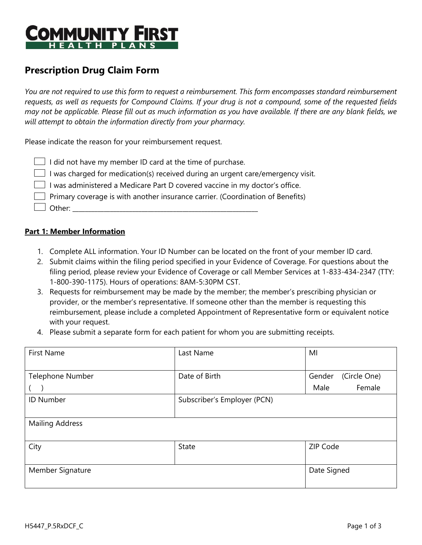

# **Prescription Drug Claim Form**

*You are not required to use this form to request a reimbursement. This form encompasses standard reimbursement requests, as well as requests for Compound Claims. If your drug is not a compound, some of the requested fields may not be applicable. Please fill out as much information as you have available. If there are any blank fields, we will attempt to obtain the information directly from your pharmacy.*

Please indicate the reason for your reimbursement request.

| $\Box$ I did not have my member ID card at the time of purchase. |  |
|------------------------------------------------------------------|--|
|------------------------------------------------------------------|--|

 $\Box$  I was charged for medication(s) received during an urgent care/emergency visit.

 $\Box$  I was administered a Medicare Part D covered vaccine in my doctor's office.

 $\Box$  Primary coverage is with another insurance carrier. (Coordination of Benefits)

 $\perp$  Other:

#### **Part 1: Member Information**

- 1. Complete ALL information. Your ID Number can be located on the front of your member ID card.
- 2. Submit claims within the filing period specified in your Evidence of Coverage. For questions about the filing period, please review your Evidence of Coverage or call Member Services at 1-833-434-2347 (TTY: 1-800-390-1175). Hours of operations: 8AM-5:30PM CST.
- 3. Requests for reimbursement may be made by the member; the member's prescribing physician or provider, or the member's representative. If someone other than the member is requesting this reimbursement, please include a completed Appointment of Representative form or equivalent notice with your request.
- 4. Please submit a separate form for each patient for whom you are submitting receipts.

| <b>First Name</b>      | Last Name                   | MI                     |  |
|------------------------|-----------------------------|------------------------|--|
|                        |                             |                        |  |
| Telephone Number       | Date of Birth               | (Circle One)<br>Gender |  |
|                        |                             | Female<br>Male         |  |
| <b>ID Number</b>       | Subscriber's Employer (PCN) |                        |  |
|                        |                             |                        |  |
| <b>Mailing Address</b> |                             |                        |  |
|                        |                             |                        |  |
| City                   | <b>State</b>                | ZIP Code               |  |
|                        |                             |                        |  |
| Member Signature       | Date Signed                 |                        |  |
|                        |                             |                        |  |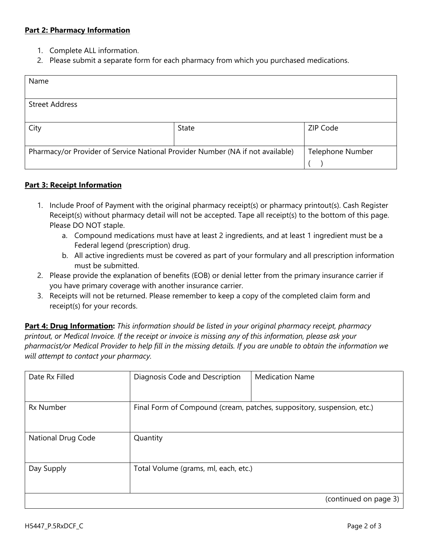### **Part 2: Pharmacy Information**

- 1. Complete ALL information.
- 2. Please submit a separate form for each pharmacy from which you purchased medications.

| Name                                                                           |       |                         |  |
|--------------------------------------------------------------------------------|-------|-------------------------|--|
|                                                                                |       |                         |  |
| <b>Street Address</b>                                                          |       |                         |  |
|                                                                                |       |                         |  |
| City                                                                           | State | ZIP Code                |  |
|                                                                                |       |                         |  |
| Pharmacy/or Provider of Service National Provider Number (NA if not available) |       | <b>Telephone Number</b> |  |
|                                                                                |       |                         |  |

### **Part 3: Receipt Information**

- 1. Include Proof of Payment with the original pharmacy receipt(s) or pharmacy printout(s). Cash Register Receipt(s) without pharmacy detail will not be accepted. Tape all receipt(s) to the bottom of this page. Please DO NOT staple.
	- a. Compound medications must have at least 2 ingredients, and at least 1 ingredient must be a Federal legend (prescription) drug.
	- b. All active ingredients must be covered as part of your formulary and all prescription information must be submitted.
- 2. Please provide the explanation of benefits (EOB) or denial letter from the primary insurance carrier if you have primary coverage with another insurance carrier.
- 3. Receipts will not be returned. Please remember to keep a copy of the completed claim form and receipt(s) for your records.

**Part 4: Drug Information:** *This information should be listed in your original pharmacy receipt, pharmacy printout, or Medical Invoice. If the receipt or invoice is missing any of this information, please ask your pharmacist/or Medical Provider to help fill in the missing details. If you are unable to obtain the information we will attempt to contact your pharmacy.*

| Date Rx Filled     | Diagnosis Code and Description                                         | <b>Medication Name</b> |  |
|--------------------|------------------------------------------------------------------------|------------------------|--|
| <b>Rx Number</b>   | Final Form of Compound (cream, patches, suppository, suspension, etc.) |                        |  |
| National Drug Code | Quantity                                                               |                        |  |
| Day Supply         | Total Volume (grams, ml, each, etc.)                                   |                        |  |
|                    |                                                                        | (continued on page 3)  |  |